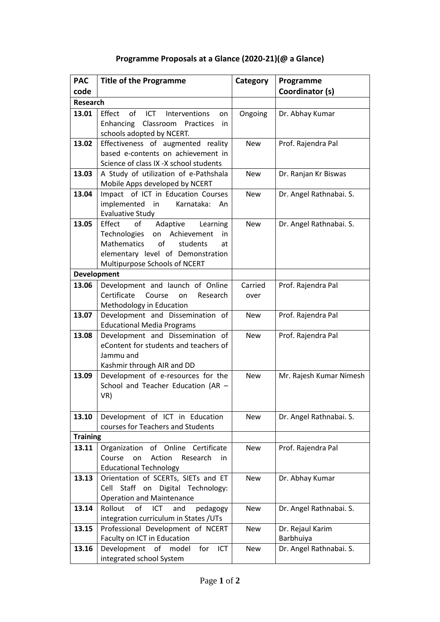## **Programme Proposals at a Glance (2020-21)(@ a Glance)**

| <b>PAC</b>         | <b>Title of the Programme</b>                                        | Category   | Programme               |  |
|--------------------|----------------------------------------------------------------------|------------|-------------------------|--|
| code               |                                                                      |            | Coordinator (s)         |  |
| <b>Research</b>    |                                                                      |            |                         |  |
| 13.01              | Effect of ICT Interventions<br>on                                    | Ongoing    | Dr. Abhay Kumar         |  |
|                    | Enhancing Classroom Practices<br>in                                  |            |                         |  |
|                    | schools adopted by NCERT.                                            |            |                         |  |
| 13.02              | Effectiveness of augmented reality                                   | <b>New</b> | Prof. Rajendra Pal      |  |
|                    | based e-contents on achievement in                                   |            |                         |  |
|                    | Science of class IX -X school students                               |            |                         |  |
| 13.03              | A Study of utilization of e-Pathshala                                | <b>New</b> | Dr. Ranjan Kr Biswas    |  |
|                    | Mobile Apps developed by NCERT                                       |            |                         |  |
| 13.04              | Impact of ICT in Education Courses                                   | <b>New</b> | Dr. Angel Rathnabai. S. |  |
|                    | implemented in<br>Karnataka: An                                      |            |                         |  |
|                    | <b>Evaluative Study</b>                                              |            |                         |  |
| 13.05              | Effect<br>of<br>Adaptive Learning                                    | <b>New</b> | Dr. Angel Rathnabai. S. |  |
|                    | Technologies on Achievement<br>in<br>of<br>Mathematics<br>students   |            |                         |  |
|                    | at<br>elementary level of Demonstration                              |            |                         |  |
|                    | Multipurpose Schools of NCERT                                        |            |                         |  |
| <b>Development</b> |                                                                      |            |                         |  |
| 13.06              | Development and launch of Online                                     | Carried    | Prof. Rajendra Pal      |  |
|                    | Certificate<br>Course<br>Research<br>on                              | over       |                         |  |
|                    | Methodology in Education                                             |            |                         |  |
| 13.07              | Development and Dissemination of                                     | <b>New</b> | Prof. Rajendra Pal      |  |
|                    | <b>Educational Media Programs</b>                                    |            |                         |  |
| 13.08              | Development and Dissemination of                                     | <b>New</b> | Prof. Rajendra Pal      |  |
|                    | eContent for students and teachers of                                |            |                         |  |
|                    | Jammu and                                                            |            |                         |  |
|                    | Kashmir through AIR and DD                                           |            |                         |  |
| 13.09              | Development of e-resources for the                                   | <b>New</b> | Mr. Rajesh Kumar Nimesh |  |
|                    | School and Teacher Education (AR -                                   |            |                         |  |
|                    | VR)                                                                  |            |                         |  |
|                    |                                                                      |            |                         |  |
| 13.10              | Development of ICT in Education<br>courses for Teachers and Students | New        | Dr. Angel Rathnabai. S. |  |
| <b>Training</b>    |                                                                      |            |                         |  |
| 13.11              | Organization of Online Certificate                                   | New        | Prof. Rajendra Pal      |  |
|                    | Action<br>Course<br>on<br>Research<br>in.                            |            |                         |  |
|                    | <b>Educational Technology</b>                                        |            |                         |  |
| 13.13              | Orientation of SCERTs, SIETs and ET                                  | New        | Dr. Abhay Kumar         |  |
|                    | Cell Staff on Digital Technology:                                    |            |                         |  |
|                    | <b>Operation and Maintenance</b>                                     |            |                         |  |
| 13.14              | Rollout<br>of<br>pedagogy<br>ICT.<br>and                             | New        | Dr. Angel Rathnabai. S. |  |
|                    | integration curriculum in States / UTs                               |            |                         |  |
| 13.15              | Professional Development of NCERT                                    | New        | Dr. Rejaul Karim        |  |
|                    | Faculty on ICT in Education                                          |            | Barbhuiya               |  |
| 13.16              | Development<br>of<br>for<br>ICT<br>model                             | New        | Dr. Angel Rathnabai. S. |  |
|                    | integrated school System                                             |            |                         |  |